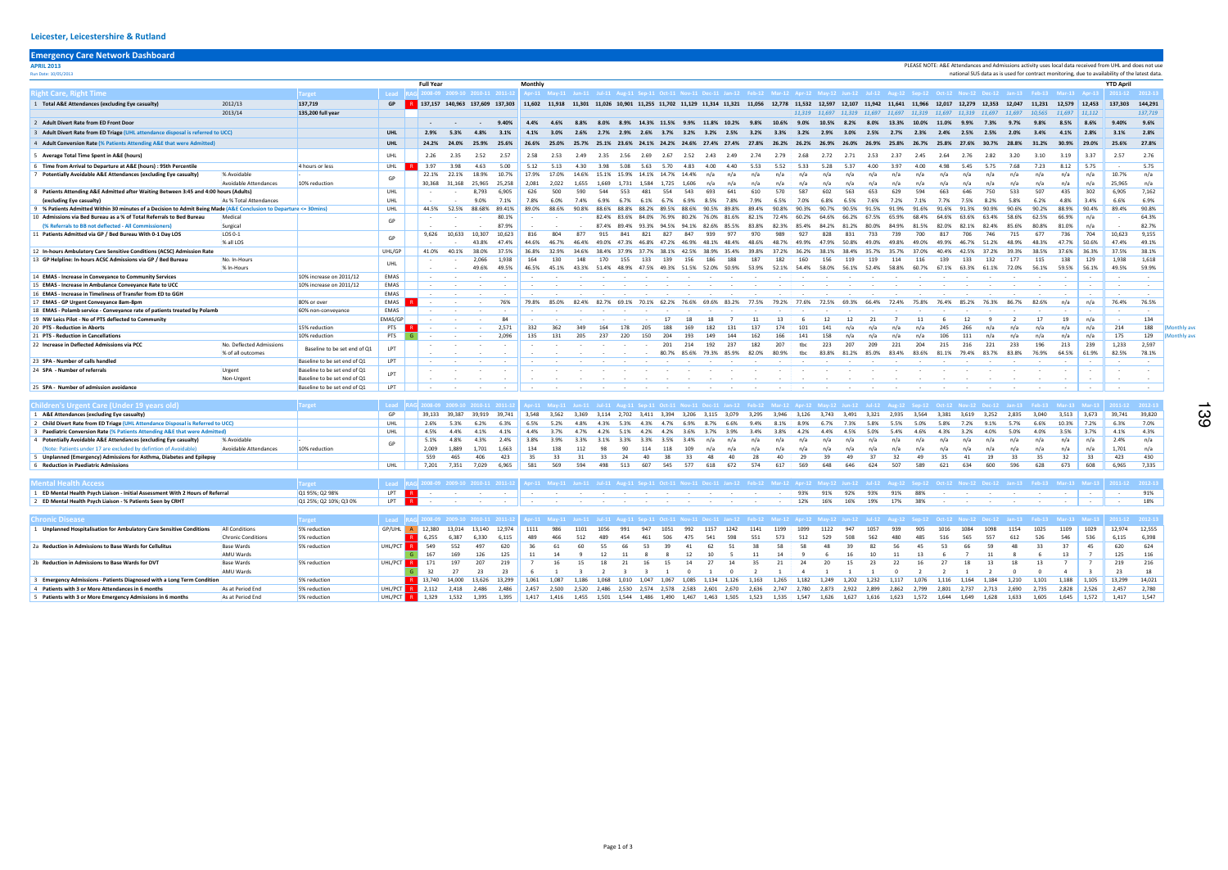## APRIL 2013 PLEASE NOTE: A&E Attendances and Admissions activity uses local data received from UHL and does not use  $Run Data$  as is used for contract monitoring, due to availability of the latest data. Full Year Monthly YTD April Right Care, Right Time Target Lead RAG 2008-09 2009-10 2010-11 2011-12 Apr-11 May-11 Jun-11 Jul-11 Aug-11 Sep-11 Oct-11 Nov-11 Dec-11 Jan-12 Feb-12 Mar-12 Apr-12 May-12 Jun-12 Jul-12 Aug-12 Sep-12 Oct-12 Nov-12 Dec-12 Jan-13 Feb-13 Mar-13 Apr-13 2011-12 2012-13 1 Total A&E Attendances (excluding Eye casualty) 2012/13 137,719 137,719 5 2012/13 137,609 137,509 137,609 137,509 137,609 137,609 11,602 11,602 11,602 11,602 11,602 11,602 11,602 11,930 11,025 11,025 11,025 11,702 11,29 1 2013/14 **135,200 full year** 11,597 11,319 11,697 11,319 11,697 11,319 11,697 11,319 11,697 11,319 11,697 11,319 2 Adult Divert Rate from ED Front Door - - - - - - - - - - - - - - - - - 9.40% 4.4% 4.4% 4.6% 8.8% 8.0% 8.9% 10.4% 9.9% 10.5% 9.9% 10.6% 9.0% 10.5% 8.2% 8.0% 13.3% 10.0% 3 Adult Divert Rate from ED Triage (UHL attendance disposal is referred to UCC) [1339 Content 1988 1999 CHL 2.9% 5.3% 4.8% 3.1% 4.1% 3.0% 2.5% 2.7% 2.9% 3.7% 3.2% 3.2% 3.2% 3.2% 3.2% 3.2% 3.2% 2.9% 2.7% 2.3% 4 Adult Conversion Rate (% Patients Attending A&E that were Admitted) 124.2% 125.9% 196.6% 20.0% 20.0% 20.0% 20.0% 20.0% 20.0% 20.0% 20.0% 20.0% 20.0% 20.0% 20.0% 20.0% 20.0% 20.0% 20.0% 20.0% 20.3% 20.3% 20.2% 20.3% 20.2% 5 Average Total Time Spent in A&E (hours) UHL 2.26 2.35 2.52 2.57 2.58 2.53 2.49 2.35 2.56 2.69 2.67 2.52 2.43 2.49 2.74 2.79 2.68 2.72 2.71 2.53 2.37 2.45 2.64 2.76 2.82 3.20 3.10 3.19 3.37 2.57 2.76 6 Time from Arrival to Departure at A&E (hours) : 95th Percentile 4.00 1.97 4.00 4.00 4.00 4.00 4.00 4.00 4.00 5.12 5.13 4.30 4.63 5.00 5.12 5.13 4.30 5.00 5.12 5.33 4.63 5.70 4.83 4.00 4.40 5.53 5.52 5.33 5.28 5.37 4.00 3 7 Potentially Avoidable A&E Attendances (excluding Eve casualty) and individable and increased in the control increased in the control at 12.1% 22.1% 22.1% 22.1% 22.1% 10.7% [1.7.9% 17.0% 14.6% 15.1% 15.9% 14.1% 14.7% 14.4 Avoidable Attendances 10% reduction 30,368 31,168 25,965 25,258 2,081 2,022 1,655 1,669 1,731 1,584 1,725 1,606 n/a n/a n/a n/a n/a n/a n/a n/a n/a n/a n/a n/a n/a n/a n/a n/a n/a 25,965 n/a 8 Patients Attending A&E Admitted after Waiting Between 3:45 and 4:00 hours (Adults) UHL Junches Between 1:45<br>As % Total Attendances UHL 1, 190% 7,1% 7.8% 6.0% 6.0% 6.0% (excluding Eye casualty) As % Total Attendances UHL - - 9.0% 7.1% 7.8% 6.0% 7.4% 6.9% 6.7% 6.1% 6.7% 6.9% 8.5% 7.8% 7.9% 6.5% 7.0% 6.8% 6.5% 7.6% 7.2% 7.1% 7.7% 7.5% 8.2% 5.8% 6.2% 4.8% 3.4% 6.6% 6.9% 9 % Patients Admitted Within 30 minutes of a Decision to Admit Being Made (A&E Conclusion to Departure <= 30mins) UHL 44.5% 52.5% 88.68% 89.41% 89.0% 88.6% 90.8% 88.6% 88.8% 88.2% 89.5% 88.6% 90.5% 89.8% 89.4% 90.8% 90.3% 90.7% 90.5% 91.5% 91.9% 91.6% 91.6% 91.3% 90.9% 90.6% 90.2% 88.9% 90.4% 89.4% 90.8% المسموعية والمسلمة المسلمة والمسلمة المسلمة والمسلمة والمسلمة والمسلمة المسلمة والمسلمة والمسلمة والمسلمة والمسلمة والمسلمة والمسلمة والمسلمة والمسلمة والمسلمة والمسلمة والمسلمة والمسلمة والمسلمة والمسلمة والمسلمة والمسلم (% Referrals to BB not deflected - All Commissioners) Surgical - - - 87.9% - - - 87.4% 89.4% 93.3% 94.5% 94.1% 82.6% 85.5% 83.8% 82.3% 85.4% 84.2% 81.2% 80.0% 84.9% 81.5% 82.0% 82.1% 82.4% 85.6% 80.8% 81.0% n/a - 82.7% 11 Patients Admitted via GP / Bed Bureau With 0-1 Day LOS LOS LOS LOS 0-1 Day LOS Day 200 10,633 10,633 10,633 10,633 10,633 816 804 877 915 841 821 827 847 939 977 970 989 927 828 831 733 739 700  $\sim$  43.8% 49.8% 49.8% 47.9% 46.9% 46.9% 46.9% 46.9% 46.9% 47.9% 46.9% 47.9% 46.9% 48.9% 48.9% 48.9% 48.9% 48.9% 48.9% 50.9% 50.9% 50.9% 49.9% 50.9% 50.9% 50.9% 50.9% 50.9% 50.9% 50.9% 50.9% 50.9% 50.9% 50.9% 50.9% 50.9% 12 In-hours Ambulatory Care Sensitive Conditions (ACSC) Admission Rate UHL/GP 41.0% 40.1% 38.0% 37.5% 36.8% 32.9% 34.6% 38.4% 37.9% 37.7% 38.1% 42.5% 38.9% 35.4% 39.8% 37.2% 36.2% 38.1% 38.4% 35.7% 35.7% 37.0% 40.4% 42.5% 37.2% 39.3% 38.5% 37.6% 36.3% 37.5% 38.1% 13 GP Helpline: In-hours ACSC Admissions via GP / Bed Bureau No. In-Hours - - 2,066 1,938 164 130 148 170 155 133 139 156 186 188 187 182 160 156 119 119 114 116 139 133 132 177 115 138 129 1,938 1,618 % In-Hours - - 49.6% 49.5% 46.5% 45.1% 43.3% 51.4% 48.9% 47.5% 49.3% 51.5% 52.0% 50.9% 53.9% 52.1% 54.4% 58.0% 56.1% 52.4% 58.8% 60.7% 67.1% 63.3% 61.1% 72.0% 56.1% 59.5% 56.1% 49.5% 59.9% 14 EMAS - Increase in Conveyance to Community Services 10% increase on 2011/12 EMAS - - - - - - - - - - - - - - - - - - - - - - - - - - - - - - - 15 **EMAS - Increase in Ambulance Conveyance Rate to UCC** and the state of the state of the state of the state of the state of the state of the state of the state of the state of the state of the state of the state of the s 16 EMAS - Increase in Timeliness of Transfer from ED to GGH EMAS - - - - - - - - - - - - - - - - - - - - - - - - - - - - - - - 17 EMAS GP Urgent Conveyance 8am-8pm 69.3% and the set of the set of the SO% or over EMAS R CHAS RECORD 19.8% 85.0% 82.4% 82.7% 69.1% 70.1% 62.2% 76.6% 69.6% 83.2% 77.5% 79.2% 77.6% 72.5% 69.3% 66.4% 72.4% 75.8% 18 EMAS - Polamb service - Conveyance rate of patients treated by Polamb 60% non-conveyance EMAS - - - - - - - - - - - - - - - - - - - - - - - - - - - - - - - 19 NW Leics Pilot - No of PTS deflected to Community **EMAS/GP** - - - 84 - - - - - - - 17 18 18 7 11 13 6 12 12 21 7 11 20 PTS - Reduction in Aborts 15% reduction PTS R - - - 2,571 332 362 349 164 178 205 188 169 182 131 137 174 101 141 n/a n/a n/a n/a 245 266 n/a n/a n/a n/a n/a 214 188 (Monthly average) 21 PTS - Reduction in Cancellations 10% reduction PTS G - - - 2,096 135 131 205 237 220 150 204 193 149 144 162 166 141 158 n/a n/a n/a n/a 106 111 n/a n/a n/a n/a n/a 175 129 (Monthly average) 22 Increase in Deflected Admissions via PCC No. Deflected Admissions and Deflected Admissions and Deflected Admissions and Deflected Admissions and Deflected Admissions and Deflected Admissions and Deflected Admissions and % of all outcomes - - - - - - - - - - 80.7% 85.6% 79.3% 85.9% 82.0% 80.9% tbc 83.8% 81.2% 85.0% 83.4% 83.6% 81.1% 79.4% 83.7% 83.8% 76.9% 64.5% 61.9% 82.5% 78.1% 23 SPA - Number of calls handled Baseline to be set end of Q1 LPT - - - - - - - - - - - - - - - - - - - - - - - - - - - - - - - 24 SPA - Number of referrals Urgent Baseline to be set end of Q1 - - - - - - - - - - - - - - - - - - - - - - - - - - - - - - - Non-Urgent Baseline to be set end of Q1 - - - - - - - - - - - - - - - - - - - - - - - - - - - - - - - 25 SPA - Number of admission avoidance Baseline to be set end of Q1 LPT - - - - - - - - - - - - - - - - - - - - - - - - - - - - - - - Children's Urgent Care (Under 19 years old) Target 19 17 arget 2001-11 2012-13 2009-00 2009-10 2010-11 2011-12 Apr-11 2011-12 Apr-11 Au-11 Jul-11 Aug-11 Sep-11 Oct-11 Nov-11 Dec-11 Jan-12 Feb-12 Mar-12 Apr-12 Mar-12 Jep-12 1 A&E Attendances (excluding Eye casualty) and the assumption of the servent of the servent of the servent of the servent of the servent of the servent of the servent of the servent of the servent of the servent of the ser 0 UHL 2.6% 5.3% 6.2% 6.3% 6.5% 5.2% 4.8% 4.3% 5.3% 4.3% 4.7% 6.9% 8.7% 6.6% 9.4% 8.1% 8.9% 6.7% 7.3% 5.8% 5.5% 3 Paediatric Conversion Rate (% Patients Attending A&E that were Admitted) UHL 4.5% 4.4% 4.1% 4.1% 4.4% 3.7% 4.7% 4.2% 5.1% 4.2% 4.2% 3.6% 3.7% 3.9% 3.4% 3.8% 4.2% 4.4% 4.5% 5.0% 5.4% 4.6% 4.3% 3.2% 4.0% 5.0% 4.0% 3.5% 3.7% 4.1% 4.3% 4 Potentially Avoidable A&E Attendances (excluding Eye casualty) % Avoidable - 5.1% 4.8% 4.3% 2.4% 3.8% 3.9% 3.3% 3.1% 3.3% 3.3% 3.5% 3.4% n/a n/a n/a n/a n/a n/a n/a n/a n/a n/a n/a n/a n/a n/a n/a n/a n/a 2.4% n/a (Note: Patients under 17 are excluded by defintion of Avoidable) Avoidable Attendances 10% reduction 2,009 1,889 1,701 1,663 134 138 112 98 90 114 118 109 n/a n/a n/a n/a n/a n/a n/a n/a n/a n/a n/a n/a n/a n/a n/a n/a n/a 1,701 n/a 5 Unplanned (Emergency) Admissions for Asthma, Diabetes and Epilepsy 63 5 559 465 406 423 35 33 31 33 24 40 38 33 48 40 28 40 29 39 49 37 32 49 6 Reduction in Paediatric Admissions UHL 7,201 7,351 7,029 6,965 581 569 594 498 513 607 545 577 618 672 574 617 569 648 646 624 507 589 621 634 600 596 628 673 608 6,965 7,335 Mental Health Access 2004-13 Mar-13 Mar-13 Mar-13 2011-12 2012-13 12:00:00 2010-11 2011-12 Apr-11 2011-12 Apr-11 2011-12 Apr-11 Jul-11 Aug-11 Sep-11 Oct-11 Nov-11 Dec-11 Jan-12 Feb-12 Mar-12 Apr-12 May-12 Jul-12 Apr-12 Mar 1 ED Mental Health Psych Liaison - Initial Assessment With 2 Hours of Referral Q1 95%; Q2 98% LPT R - - - - - - - - - - - - - - - - 93% 91% 92% 93% 91% 88% - - - - - - - - 91% 2 ED Mental Health Psych Liaison - % Patients Seen by CRHT Chronic Disease 2011-13 Nar-13 Mar-13 Mar-13 2011-12 2012-13 12:00:00 2010-11 2013-12 Apr-11 2011-12 Apr-11 May-11 Jul-11 Aug-11 Sep-11 Oct-11 Nov-11 Dec-11 Jan-12 Feb-12 Mar-12 Apr-12 May-12 Jul-12 Apr-12 Nov-12 Dec-12 Ju 1 Unnlanned Hosnitalisation for Ambulatory Care Sensitive Conditions in 10 conditions 5% reduction 5 (DAIH) A 12380 13.014 13.140 12.074 1111 986 1101 1056 991 947 1051 992 1157 1242 1141 12.09 1141 12.09 1057 939 905 Chronic Conditions 5% reduction **R 6,255 6,387 6,387 6,387 6,389 466 512** 489 454 461 506 475 541 598 551 573 512 529 508 562 480 485 2a Reduction in Admissions to Base Wards Base Wards 5% reduction JUHL/PCT R 549 552 497 620 36 61 60 55 66 53 39 41 62 51 38 58 58 48 39 82 56 45 53 66 59 48 33 37 45 620 624 AMU Wards <mark> G</mark> 167 169 126 125 || 11 14 9 12 11 8 8 12 10 5 11 14 9 6 16 10 11 13 6 7 11 8 6 13 <mark>7 ||</mark> 125 116 2b Reduction in Admissions to Base Wards for DVT Base Wards 5% reduction WHL/PCT R 171 197 207 219 7 16 15 18 21 16 15 14 27 14 35 21 24 20 15 23 22 16 27 18 13 18 13 7 7 219 216 AMU Wards G 32 27 23 23 6 1 3 2 3 3 1 0 1 0 2 1 4 1 1 1 0 2 2 1 2 0 0 4 3 23 18 3 Emergency Admissions - Patients Diagnosed with a Long Term Condition 5% reduction 5% reduction 5% reduction 5% reduction 5% reduction 5% reduction 5% reduction 5% reduction 1,080 1,061 1,063 1,085 1,085 1,085 1,085 1,085 4 Patients with 3 or More Attendances in 6 months 6 36 As at Period End 5% reduction 5 10 UHL/PCT R 2,112 2,418 2,486 2,456 2,456 2,450 2,500 2,520 2,520 2,520 2,523 2,533 2,601 2,670 2,636 2,747 2,780 2,873 2,922 2,899 2, GP GP GP UHL Baseline to be set end of  $O1$ LPT GP

5 Patients with 3 or More Emergency Admissions in 6 months As at Period End 5% reduction 5% and the UHL/PCT R 1,329 1,339 1,339 1,335 1,417 1,416 1,455 1,501 1,544 1,486 1,490 1,467 1,463 1,505 1,523 1,523 1,523 1,526 1,62

|                          |                          |                          |                          |                          |                          |                          | <b>YTD April</b>         |                          |
|--------------------------|--------------------------|--------------------------|--------------------------|--------------------------|--------------------------|--------------------------|--------------------------|--------------------------|
|                          |                          | Oct-12 Nov-12 Dec-12     | $Jan-13$                 | Feb-13                   | $Mar-13$                 | <b>Apr-13</b>            | 2011-12                  | 2012-13                  |
| 12,017                   | 12,279                   | 12,353                   | 12,047                   | 11,231                   | 12,579                   | 12,453                   | 137,303                  | 144,291                  |
| 11,697                   | 11,319                   | 11,697                   | 11,697                   | 10,565                   | 11,697                   | 11,112                   |                          | 137,719                  |
| 11.0%                    | 9.9%                     | 7.3%                     | 9.7%                     | 9.8%                     | 8.5%                     | 8.6%                     | 9.40%                    | 9.6%                     |
| 2.4%                     | 2.5%                     | 2.5%                     | 2.0%                     | 3.4%                     | 4.1%                     | 2.8%                     | 3.1%                     | 2.8%                     |
| 25.8%                    | 27.6%                    | 30.7%                    | 28.8%                    | 31.2%                    | 30.9%                    | 29.0%                    | 25.6%                    | 27.8%                    |
| 2.64                     | 2.76                     | 2.82                     | 3.20                     | 3.10                     | 3.19                     | 3.37                     | 2.57                     | 2.76                     |
| 4.98                     | 5.45                     | 5.75                     | 7.68                     | 7.23                     | 8.12                     | 5.75                     | L,                       | 5.75                     |
| n/a                      | n/a                      | n/a                      | n/a                      | n/a                      | n/a                      | n/a                      | 10.7%                    | n/a                      |
| n/a                      | n/a                      | n/a                      | n/a                      | n/a                      | n/a                      | n/a                      | 25,965                   | n/a                      |
| 663                      | 646                      | 750                      | 533                      | 507                      | 435                      | 302                      | 6,905                    | 7,162                    |
| 7.7%                     | 7.5%                     | 8.2%                     | 5.8%                     | 6.2%                     | 4.8%                     | 3.4%                     | 6.6%                     | 6.9%                     |
| 91.6%                    | 91.3%                    | 90.9%                    | 90.6%                    | 90.2%                    | 88.9%                    | 90.4%                    | 89.4%                    | 90.8%                    |
| 64.6%                    | 63.6%                    | 63.4%                    | 58.6%                    | 62.5%                    | 66.9%                    | n/a                      | $\overline{\phantom{a}}$ | 64.3%                    |
| 82.0%                    | 82.1%                    | 82.4%                    | 85.6%                    | 80.8%                    | 81.0%                    | n/a                      | $\overline{\phantom{a}}$ | 82.7%                    |
| 817                      | 706                      | 746                      | 715                      | 677                      | 736                      | 704                      | 10,623                   | 9,155                    |
| 49.9%                    | 46.7%                    | 51.2%                    | 48.9%                    | 48.3%                    | 47.7%                    | 50.6%                    | 47.4%                    | 49.1%                    |
| 40.4%                    | 42.5%                    | 37.2%                    | 39.3%                    | 38.5%                    | 37.6%                    | 36.3%                    | 37.5%                    | 38.1%                    |
| 139                      | 133                      | 132                      | 177                      | 115                      | 138                      | 129                      | 1,938                    | 1,618                    |
| 67.1%                    | 63.3%                    | 61.1%                    | 72.0%                    | 56.1%                    | 59.5%                    | 56.1%                    | 49.5%                    | 59.9%                    |
| $\overline{\phantom{a}}$ | $\overline{\phantom{0}}$ | ÷,                       | $\overline{\phantom{a}}$ | ÷,                       | ÷,                       | ÷,                       | ÷                        | $\overline{\phantom{0}}$ |
|                          |                          | $\overline{a}$           |                          | $\overline{a}$           |                          |                          | ÷,                       |                          |
|                          |                          |                          |                          | ÷.                       |                          |                          |                          |                          |
| 76.4%                    | 85.2%                    | 76.3%                    | 86.7%                    | 82.6%                    | n/a                      | n/a                      | 76.4%                    | 76.5%                    |
| $\frac{1}{2}$            | $\overline{\phantom{a}}$ | ÷.                       | $\overline{a}$           | $\overline{\phantom{a}}$ | $\overline{\phantom{a}}$ | $\overline{\phantom{a}}$ | ÷                        | $\overline{\phantom{a}}$ |
| 6                        | 12                       | 9                        | $\overline{2}$           | 17                       | 19                       | n/a                      | ÷.                       | 134                      |
| 245                      | 266                      | n/a                      | n/a                      | n/a                      | n/a                      | n/a                      | 214                      | 188                      |
| 106                      | 111                      | n/a                      | n/a                      | n/a                      | n/a                      | n/a                      | 175                      | 129                      |
| 215                      | 216                      | 221                      | 233                      | 196                      | 213                      | 239                      | 1,233                    | 2,597                    |
| 81.1%                    | 79.4%                    | 83.7%                    | 83.8%                    | 76.9%                    | 64.5%                    | 61.9%                    | 82.5%                    | 78.1%                    |
| $\frac{1}{2}$            | ÷.                       | $\overline{\phantom{0}}$ | ÷                        | ÷,                       | ÷,                       | $\overline{\phantom{0}}$ | ÷                        | ÷,                       |
|                          |                          | ÷,                       |                          |                          | $\overline{a}$           | $\overline{a}$           | ×,                       |                          |
|                          |                          |                          |                          |                          |                          | ÷                        |                          |                          |
|                          |                          |                          |                          |                          |                          |                          |                          |                          |

| Oct-12 | <b>Nov-12</b> | <b>Dec-12</b> | $Jan-13$ | $Feb-13$ | $Mar-13$ | $Mar-13$ | 2011-12 | 2012-13 |
|--------|---------------|---------------|----------|----------|----------|----------|---------|---------|
| 3,381  | 3.619         | 3.252         | 2.835    | 3.040    | 3.513    | 3.673    | 39.741  | 39.820  |
| 5.8%   | 7.2%          | 9.1%          | 5.7%     | 6.6%     | 10.3%    | 7.2%     | 6.3%    | 7.0%    |
| 4.3%   | 3.2%          | 4.0%          | 5.0%     | 4.0%     | 3.5%     | 3.7%     | 4.1%    | 4.3%    |
| n/a    | n/a           | n/a           | n/a      | n/a      | n/a      | n/a      | 2.4%    | n/a     |
| n/a    | n/a           | n/a           | n/a      | n/a      | n/a      | n/a      | 1.701   | n/a     |
| 35     | 41            | 19            | 33       | 35       | 32       | 33       | 423     | 430     |
| 621    | 634           | 600           | 596      | 628      | 673      | 608      | 6.965   | 7.335   |

|  |                            |                   |                                        | Oct-12 Nov-12 Dec-12 Jan-13 Feb-13 Mar-13 Mar-13 2011-12 2012-13 |  |
|--|----------------------------|-------------------|----------------------------------------|------------------------------------------------------------------|--|
|  | the company of the company |                   | the control of the control of the con- |                                                                  |  |
|  |                            | <b>Contractor</b> |                                        |                                                                  |  |
|  |                            |                   |                                        |                                                                  |  |

| $Oct-12$       | <b>Nov-12</b> | Dec-12         | $Jan-13$ | <b>Feb-13</b> | $Mar-13$ | $Mar-13$ | 2011-12 | 2012-13 |
|----------------|---------------|----------------|----------|---------------|----------|----------|---------|---------|
| 1016           | 1084          | 1098           | 1154     | 1025          | 1109     | 1029     | 12,974  | 12.555  |
| 516            | 565           | 557            | 612      | 526           | 546      | 536      | 6,115   | 6,398   |
| 53             | 66            | 59             | 48       | 33            | 37       | 45       | 620     | 624     |
| 6              | 7             | 11             | 8        | 6             | 13       | 7        | 125     | 116     |
| 27             | 18            | 13             | 18       | 13            | 7        | 7        | 219     | 216     |
| $\overline{2}$ | 1             | $\overline{2}$ | 0        | 0             | 4        | 3        | 23      | 18      |
| 1.116          | 1.164         | 1.184          | 1.210    | 1.101         | 1,188    | 1.105    | 13.299  | 14.021  |
| 2,801          | 2.737         | 2.713          | 2.690    | 2,735         | 2,828    | 2,526    | 2.457   | 2,780   |
| 1.644          | 1.649         | 1.628          | 1.633    | 1.605         | 1.645    | 1.572    | 1.417   | 1.547   |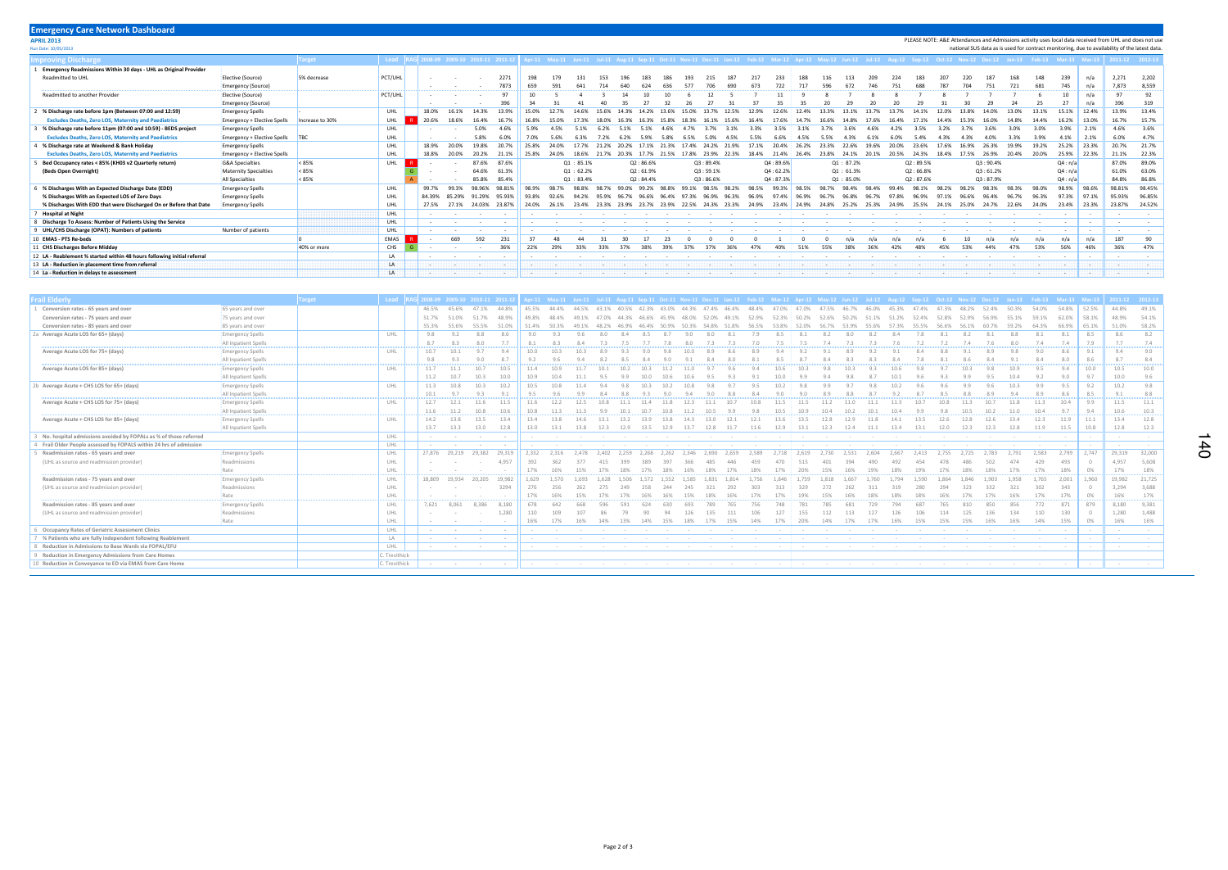| <b>Emergency Care Network Dashboard</b>                                 |                             |                 |           |  |                                 |                 |                 |         |       |                        |            |  |  |                   |             |          |           |               |          |       |       |               |       |       |          |  |          |                                                                                                                                                                                |       |         |        |                                                                                                         |                |
|-------------------------------------------------------------------------|-----------------------------|-----------------|-----------|--|---------------------------------|-----------------|-----------------|---------|-------|------------------------|------------|--|--|-------------------|-------------|----------|-----------|---------------|----------|-------|-------|---------------|-------|-------|----------|--|----------|--------------------------------------------------------------------------------------------------------------------------------------------------------------------------------|-------|---------|--------|---------------------------------------------------------------------------------------------------------|----------------|
| <b>APRIL 2013</b>                                                       |                             |                 |           |  |                                 |                 |                 |         |       |                        |            |  |  |                   |             |          |           |               |          |       |       |               |       |       |          |  |          |                                                                                                                                                                                |       |         |        | PLEASE NOTE: A&E Attendances and Admissions activity uses local data received from UHL and does not use |                |
| Run Date: 10/05/2013                                                    |                             |                 |           |  |                                 |                 |                 |         |       |                        |            |  |  |                   |             |          |           |               |          |       |       |               |       |       |          |  |          |                                                                                                                                                                                |       |         |        | national SUS data as is used for contract monitoring, due to availability of the latest data            |                |
| <b>nproving Discharge</b>                                               | arget                       | Lead            |           |  | 2008-09 2009-10 2010-11 2011-12 |                 |                 |         |       |                        |            |  |  |                   |             |          |           |               |          |       |       |               |       |       |          |  |          | Apr-11 May-11 Jun-11 Jul-11 Aug-11 Sep-11 Oct-11 Nov-11 Dec-11 Jan-12 Feb-12 Mar-12 Apr-12 May-12 Jun-12 Aug-12 Aug-12 Sep-12 Oct-12 Nov-12 Dec-12 Jan-13 Feb-13 Mar-13 Mar-13 |       |         |        |                                                                                                         |                |
| Emergency Readmissions Within 30 days - UHL as Original Provider        |                             |                 |           |  |                                 |                 |                 |         |       |                        |            |  |  |                   |             |          |           |               |          |       |       |               |       |       |          |  |          |                                                                                                                                                                                |       |         |        |                                                                                                         |                |
| Readmitted to UHL                                                       | Elective (Source)           | 5% decrease     | PCT/UHL   |  |                                 |                 |                 | 2271    | 198   |                        |            |  |  |                   |             |          |           |               |          | 188   |       |               |       |       |          |  |          |                                                                                                                                                                                |       | 239     | n/a    | 2.271                                                                                                   | 2,202          |
|                                                                         | Emergency (Source)          |                 |           |  |                                 |                 |                 | 7873    | 659   |                        |            |  |  |                   |             |          |           |               |          |       |       |               |       |       |          |  |          |                                                                                                                                                                                | 681   | 745     | n/a    | 7.873                                                                                                   | 8,559          |
| Readmitted to another Provider                                          | Elective (Source)           |                 | PCT/UHL   |  |                                 |                 |                 |         |       |                        |            |  |  |                   |             |          |           |               |          |       |       |               |       |       |          |  |          |                                                                                                                                                                                |       |         | n/a    | Q <sub>1</sub>                                                                                          | 92             |
|                                                                         | Emergency (Source)          |                 |           |  |                                 |                 |                 |         |       |                        |            |  |  |                   |             |          |           |               |          |       |       |               |       |       |          |  |          |                                                                                                                                                                                |       |         | n/a    | 396                                                                                                     | 319            |
| % Discharge rate before 1pm (Between 07:00 and 12:59)                   | <b>Emergency Spells</b>     |                 | UHL       |  | 18.0%                           |                 | 14.3%           |         |       |                        |            |  |  |                   |             |          |           |               |          |       |       |               |       |       |          |  |          |                                                                                                                                                                                |       | 15.1%   | 12.4%  | 13.9%                                                                                                   | 13.4%          |
| <b>Excludes Deaths, Zero LOS, Maternity and Paediatrics</b>             | Emergency + Elective Spells | Increase to 30% | UHL       |  | 20.6%                           | 18.6%           | 16.4%           |         | 16.8% |                        |            |  |  |                   |             |          |           |               |          |       |       |               |       |       |          |  |          |                                                                                                                                                                                |       | 16.2%   | 13.0%  | 16.7%                                                                                                   | 15.7%          |
| % Discharge rate before 11pm (07:00 and 10:59) - BEDS project           | <b>Emergency Spells</b>     |                 | UHL       |  |                                 |                 | 5.0%            | 4.6%    | 5.9%  |                        |            |  |  |                   |             |          |           |               |          |       |       |               |       |       |          |  |          |                                                                                                                                                                                |       | 3.9%    | 2.1%   | 4.6%                                                                                                    | 3.6%           |
| <b>Excludes Deaths, Zero LOS, Maternity and Paediatrics</b>             | Emergency + Elective Spells | <b>TBC</b>      | UHL       |  |                                 |                 | 5.8%            |         |       |                        |            |  |  |                   |             |          |           |               |          | 4.5%  |       |               |       |       |          |  |          |                                                                                                                                                                                |       | 4.1%    | 2.1%   | 6.0%                                                                                                    | 4.7%           |
| % Discharge rate at Weekend & Bank Holiday                              | Emergency Spells            |                 | UHL       |  | 18.9%                           | 20.0%           | 19.8%           |         |       |                        |            |  |  |                   |             |          |           |               | 20.4%    | 26.2% |       |               |       |       |          |  |          |                                                                                                                                                                                |       | 25.2%   | 23.3%  | 20.7%                                                                                                   | 21.7%          |
| <b>Excludes Deaths, Zero LOS, Maternity and Paediatrics</b>             | Emergency + Elective Spells |                 | UHL       |  | 18.8%                           | 20.0%           | 20.2%           | 21.1%   | 25.8% | 24.0%                  | 18.6%      |  |  | 20.3% 17.7% 21.5% | 17.8% 23.9% |          | 22.3%     | 18.4%         | 21.4%    | 26.4% | 23.8% | 24.1%         | 20.1% | 20.5% | 24.3%    |  | 26.9%    | 20.4%                                                                                                                                                                          | 20.0% | 25.9%   | 22.3%  | 21.1%                                                                                                   | 22.3%          |
| Bed Occupancy rates < 85% (KH03 v2 Quarterly return)                    | <b>G&amp;A</b> Specialties  | $  85\%$        | UHL       |  |                                 |                 | 87.6%           | 87.6%   |       |                        | Q1 : 85.1% |  |  | Q2:86.6%          |             | Q3:89.4% |           |               | Q4:89.6% |       |       | Q1 : 87.2%    |       |       | Q2:89.5% |  | Q3:90.4% |                                                                                                                                                                                |       | Q4: n/a |        | 87.0%                                                                                                   | 89.0%          |
| (Beds Open Overnight)                                                   | Maternity Specialties       | $  85\%$        |           |  |                                 |                 | 64.6%           | 61.3%   |       |                        | Q1 : 62.2% |  |  | Q2:61.9%          |             | Q3:59.1% |           |               | Q4:62.2% |       |       | Q1 : 61.3%    |       |       | Q2:66.8% |  | Q3:61.2% |                                                                                                                                                                                |       | Q4: n/a |        | 61.0%                                                                                                   | 63.0%          |
|                                                                         | All Specialties             | < 85%           |           |  |                                 |                 | 85.8%           | 85.4%   |       |                        | Q1 : 83.4% |  |  | Q2:84.4%          |             | Q3:86.6% |           |               | Q4:87.3% |       |       | $Q1 : 85.0\%$ |       |       | Q2:87.6% |  | Q3:87.9% |                                                                                                                                                                                |       | Q4: n/a |        | 84.8%                                                                                                   | 86.8%          |
| % Discharges With an Expected Discharge Date (EDD)                      | <b>Emergency Spells</b>     |                 | UHL       |  | 99.7%                           | 99.3%           |                 | 98.81%  |       |                        |            |  |  | 99.2%             |             |          |           |               |          |       |       |               |       |       |          |  |          |                                                                                                                                                                                |       | 98.9%   | 98.6%  | 98 81%                                                                                                  | 98.45%         |
| % Discharges With an Expected LOS of Zero Days                          | <b>Emergency Spells</b>     |                 | UHL       |  | 84.39%                          | 85.29%          | 91.29%          | 95.93%  | 93.8% |                        |            |  |  |                   |             |          |           |               |          |       |       |               |       |       |          |  |          |                                                                                                                                                                                |       | 97.3%   | 97.1%  | 95 93%                                                                                                  | 96.85%         |
| % Discharges With EDD that were Discharged On or Before that Date       | <b>Emergency Spells</b>     |                 | UHL       |  | 27.5%                           | 27.1%           | 24.03%          | 23.87%  |       |                        |            |  |  |                   |             |          |           |               |          |       |       |               |       |       |          |  |          |                                                                                                                                                                                |       | 23.4%   | 23.3%  | 23.87%                                                                                                  | 24.52%         |
| <b>Hospital at Night</b>                                                |                             |                 | UHL       |  |                                 |                 |                 |         |       |                        |            |  |  |                   |             |          |           |               |          |       |       |               |       |       |          |  |          |                                                                                                                                                                                |       |         |        |                                                                                                         |                |
| <b>Discharge To Assess: Number of Patients Using the Service</b>        |                             |                 | UHL       |  |                                 |                 |                 |         |       |                        |            |  |  |                   |             |          |           |               |          |       |       |               |       |       |          |  |          |                                                                                                                                                                                |       |         |        |                                                                                                         |                |
| UHL/CHS Discharge (OPAT): Numbers of patients                           | Number of patients          |                 | UHL       |  |                                 |                 |                 |         |       |                        |            |  |  |                   |             |          |           |               |          |       |       |               |       |       |          |  |          |                                                                                                                                                                                |       |         |        |                                                                                                         |                |
| 10 EMAS - PTS Re-beds                                                   |                             |                 | EMAS      |  |                                 | 669             | 592             | 231     |       |                        |            |  |  |                   |             |          |           |               |          |       |       |               |       |       |          |  |          |                                                                                                                                                                                | n/a   | n/a     | n/a    | 187                                                                                                     | 90             |
| 11 CHS Discharges Before Midday                                         |                             | 40% or more     | CHS       |  |                                 |                 |                 | 36%     | 22%   | 29%                    |            |  |  |                   |             |          |           |               |          |       | 55%   |               |       |       |          |  |          |                                                                                                                                                                                | 53%   | 56%     | 46%    | 36%                                                                                                     | 47%            |
| 12 LA - Reablement % started within 48 hours following initial referral |                             |                 | LA        |  |                                 |                 |                 |         |       |                        |            |  |  |                   |             |          |           |               |          |       |       |               |       |       |          |  |          |                                                                                                                                                                                |       |         |        |                                                                                                         |                |
| 13 LA - Reduction in placement time from referral                       |                             |                 | <b>AA</b> |  |                                 |                 | man             |         |       |                        |            |  |  |                   |             |          |           |               |          |       |       |               |       |       |          |  |          |                                                                                                                                                                                |       |         |        |                                                                                                         |                |
| 14 La - Reduction in delays to assessment                               |                             |                 | <b>IA</b> |  | mam                             | ,,,,,,,,,,,,,,, | ,,,,,,,,,,,,,,, | 9999499 |       | ,,,,,,,,,,,,,,,,,,,,,, |            |  |  |                   |             |          | 999994999 | ,,,,,,,,,,,,, |          |       |       |               |       |       |          |  |          |                                                                                                                                                                                |       |         | 914111 | 99499                                                                                                   | ,,,,,,,,,,,,,, |

| ail Elderly                                                        | <b>Target</b>            | Lead RAG 2008-09 2009-10 2010-11 2011-12 |        |               |        |                  |             |        |        |       |      |                                                                                                                 |      |      |                         |                               |                         |            |             |                          |        |                 |       |       |                                                  |       |            |                | Apr-11 May-11 Jun-11 Jul-11 Aug-11 Sep-11 Oct-11 Nov-11 Dec-11 Jan-12 Feb-12 Mar-12 Aay-12 Jun-12 Jul-12 Aug-12 Sep-12 Oct-12 Nov-12 Dec-12 Jan-13 Feb-13 Mar-13 Mar-13 |             |        | 2011-12 2012-13 |
|--------------------------------------------------------------------|--------------------------|------------------------------------------|--------|---------------|--------|------------------|-------------|--------|--------|-------|------|-----------------------------------------------------------------------------------------------------------------|------|------|-------------------------|-------------------------------|-------------------------|------------|-------------|--------------------------|--------|-----------------|-------|-------|--------------------------------------------------|-------|------------|----------------|-------------------------------------------------------------------------------------------------------------------------------------------------------------------------|-------------|--------|-----------------|
| Conversion rates - 65 years and over                               | <b>65</b> years and over |                                          | 46.5%  | 45.6%         | 47.1%  | 44.8%            | 45.5% 44.4% |        | 44.5%  | 43.1% |      | 40.5% 42.3% 43.0% 44.3% 47.4% 46.4%                                                                             |      |      |                         | 48.4% 47.0% 47.0% 47.5% 46.7% |                         |            |             |                          | 46.0%  | 453%            | 47.4% | 47.3% | 48.2%                                            | 52.4% | 50.3%      | 54.0%          |                                                                                                                                                                         | 54.8% 52.5% | 44.8%  | 49.1%           |
| Conversion rates - 75 years and over                               | 75 years and over        |                                          | 51.7%  | 51.0%         | 51.7%  | 48.9%            | 49.8%       | 48.4%  |        |       |      |                                                                                                                 |      |      | 45.9% 48.0% 52.0% 49.1% | 52.9%                         | 52.3% 50.2% 52.6% 50.2% |            |             |                          | 51.1%  | 51.2%           | 52.4% |       |                                                  |       | 55.1%      | 59.1%          | 62.0%                                                                                                                                                                   | 58.1%       | 48.9%  | 54.1%           |
| Conversion rates - 85 years and over                               | 85 years and over        |                                          | 55.3%  | 55.6%         | 55.5%  | 51.0%            | 51.4%       |        |        |       |      | 46.4% 50.9% 50.3% 54.8%                                                                                         |      |      | 51.8%                   | 56.5%                         | 53.8%                   | 52.0%      | 56.7% 53.9% |                          | 55.6%  | 57.3%           | 55.5% |       |                                                  |       |            |                | 66.9%                                                                                                                                                                   | 65.1%       | 51.0%  | 58.2%           |
| 2a Average Acute LOS for 65+ (days)                                | Emergency Spells         | UHL                                      | 9.8    | 9.2           | 8.8    | 8.6              | 9.0         |        |        |       |      |                                                                                                                 |      |      |                         |                               | 8.5                     | 8.1        |             |                          |        |                 |       |       |                                                  |       |            |                | 8.1                                                                                                                                                                     | 8.5         | 8.6    | 8.2             |
|                                                                    | All Inpatient Spells     |                                          | 8.7    | 8.3           |        |                  | 8.1         |        |        |       |      |                                                                                                                 |      |      |                         |                               | 7.5                     | 7.5        |             |                          |        |                 |       |       |                                                  |       |            |                | 7.4                                                                                                                                                                     | 7.9         | 7.7    | 7.4             |
| Average Acute LOS for 75+ (days)                                   | Emergency Spells         | UHL                                      | 10.7   |               |        | 9.4              | 10.0        |        |        |       |      |                                                                                                                 |      |      |                         |                               | 9.4                     |            |             |                          |        |                 |       |       |                                                  |       |            | 9 <sub>0</sub> | 8.6                                                                                                                                                                     | 9.1         | 94     | 9.0             |
|                                                                    | All Inpatient Spells     |                                          | 9.8    | 9.3           | 9.0    | 8.7              | 9.2         |        |        |       |      |                                                                                                                 |      |      |                         |                               |                         | 87         |             |                          |        |                 |       |       |                                                  |       |            |                | 8.0                                                                                                                                                                     | 8.6         | 87     | 8.4             |
| Average Acute LOS for 85+ (days)                                   | Emergency Spells         | UHL                                      | 11.7   | 11.1          | 10.7   | 10.5             | 11.4        |        |        |       |      |                                                                                                                 |      |      |                         |                               |                         | 10.3       |             |                          |        |                 |       |       |                                                  |       |            |                | 9.4                                                                                                                                                                     | 10.0        | 10.5   | 10.0            |
|                                                                    | All Inpatient Spells     |                                          | 11.2   |               |        | 10.0             | 10.9        |        |        |       |      |                                                                                                                 |      |      |                         |                               | 10.0                    | 9.9        |             |                          |        |                 |       |       |                                                  |       |            |                | 9.0                                                                                                                                                                     | 9.7         | 10.0   | 9.6             |
| 2b Average Acute + CHS LOS for 65+ (days)                          | Emergency Spells         | UHL                                      | 11.3   | 10.8          | 10.3   | 10.2             | 10.5        | 10.8   |        |       |      |                                                                                                                 |      |      |                         | 9.5                           | 10.2                    | 9.8        |             |                          |        |                 |       |       |                                                  |       |            | QQ             | 9.5                                                                                                                                                                     | 9.2         | 10.2   | 9.8             |
|                                                                    | All Inpatient Spells     |                                          | 10.1   | 9.7           | 9.3    | 9.1              | 9.5         |        |        |       |      |                                                                                                                 |      |      |                         |                               | 9.0                     | 9.0        |             |                          |        |                 |       |       |                                                  |       |            |                |                                                                                                                                                                         | 8.5         | 9.1    | 8.8             |
| Average Acute + CHS LOS for 75+ (days)                             | Emergency Spells         | UHL                                      | 12.7   | 12.1          | 11.6   | 11.5             | 11.6        |        |        |       |      |                                                                                                                 |      |      |                         | 10.8                          | 11.5                    | 11.5       |             |                          |        |                 |       |       |                                                  |       |            |                | 10.4                                                                                                                                                                    | 9.9         | 11.5   | 11.1            |
|                                                                    | All Inpatient Spells     |                                          | 11.6   | 11.2          | 10.8   | 10.6             | 10.8        |        |        |       |      |                                                                                                                 |      |      |                         |                               | 10.5                    | 10.9       |             |                          |        |                 |       |       |                                                  |       |            |                | 9.7                                                                                                                                                                     | 9.4         | 10.6   | 10.3            |
| Average Acute + CHS LOS for 85+ (days)                             | Emergency Spells         | UHL                                      | 14.2   | 13.8          | 13.5   | 13.4             | 13.4        |        |        |       |      |                                                                                                                 |      |      |                         | 12.1                          | 13.6                    | 13.5       | 128         |                          |        |                 |       |       |                                                  |       |            | 123            | 11.9                                                                                                                                                                    | 11.1        | 13.4   | 12.8            |
|                                                                    | All Inpatient Spells     |                                          | 13.7   | 13.3          | 13.0   | 12.8             | 13.0        | 13.1   | 13.8   | 12.3  | 13.5 | 12.9                                                                                                            | 13.7 | 12.8 | 11.7                    | 11.6                          | 12.9                    | 13.1       | 12.3        | 12.4                     | 11.1   |                 | -13.1 |       |                                                  |       | 12.8       | 11.9           | 11.5                                                                                                                                                                    | 10.8        | 12.8   | 12.3            |
| No. hospital admissions avoided by FOPALs as % of those referred   |                          | UHL                                      | $\sim$ |               |        | $\sim$           |             |        |        |       |      |                                                                                                                 |      |      |                         |                               |                         | $\sim$ $-$ |             |                          |        |                 |       |       |                                                  |       |            |                |                                                                                                                                                                         | $\sim$      |        | $\sim$          |
| 4 Frail Older People assessed by FOPALS within 24 hrs of admission |                          | UHL                                      |        |               |        |                  |             |        |        |       |      |                                                                                                                 |      |      |                         |                               |                         |            |             |                          |        |                 |       |       |                                                  |       |            |                |                                                                                                                                                                         |             |        |                 |
| Readmission rates - 65 years and over                              | Emergency Spells         | UHL                                      |        | 27.876 29.219 | 29.382 | 29.319           | 2.332       |        |        |       |      |                                                                                                                 |      |      |                         | 589                           |                         | 2.619      |             |                          |        |                 |       |       |                                                  |       |            |                | 2.799                                                                                                                                                                   | 2.747       | 29.319 | 32.000          |
| (UHL as source and readmission provider)                           | Readmissions             | UHL                                      |        |               |        | 4.957            | 392         | 362    |        |       |      |                                                                                                                 |      |      |                         |                               | 470                     | 515        |             |                          |        |                 |       |       |                                                  |       |            | 429            | 493                                                                                                                                                                     | $\circ$     | 4.957  | 5.608           |
|                                                                    | Rate                     | UHL                                      |        |               |        |                  | 17%         |        |        |       |      |                                                                                                                 |      |      |                         |                               |                         | 20%        |             |                          |        |                 |       |       |                                                  |       |            |                | 18%                                                                                                                                                                     | 0%          | 17%    | 18%             |
| Readmission rates - 75 years and over                              | Emergency Spells         | UHL                                      | 18.809 | 19.934        | 20.205 | 19.982           | 1.629       |        |        | 1 628 |      |                                                                                                                 |      |      |                         | 1 756                         | 1.846                   | 1.759      |             |                          |        |                 |       |       |                                                  |       |            |                | 2.001                                                                                                                                                                   | 1.960       | 19.982 | 21,725          |
| (UHL as source and readmission provider)                           | Readmissions             | UHL                                      |        |               |        | 3294             | 276         |        |        |       |      |                                                                                                                 |      |      |                         |                               |                         | 329        |             |                          |        |                 |       |       |                                                  |       |            |                | 343                                                                                                                                                                     |             | 3.294  | 3.688           |
|                                                                    | Rate                     | UHL                                      |        |               |        |                  | 17%         |        |        |       |      |                                                                                                                 |      |      |                         |                               |                         | 19%        |             |                          |        |                 |       |       |                                                  |       |            |                | 17%                                                                                                                                                                     | 0%          | 16%    | 17%             |
| Readmission rates - 85 years and over                              | Emergency Spells         | UHL                                      | 7.621  | 8.061         | 8.386  | 8.180            | 678         |        |        |       |      |                                                                                                                 |      |      |                         |                               | 748                     | 781        |             |                          |        |                 |       |       |                                                  |       |            |                | 871                                                                                                                                                                     | 879         | 8.180  | 9.381           |
| (UHL as source and readmission provider)                           | Readmissions             | UHL                                      |        |               |        | 1.280            | 110         |        |        |       |      |                                                                                                                 |      |      |                         |                               | 127                     | 155        | 112         |                          |        |                 |       |       |                                                  |       |            |                | 130                                                                                                                                                                     |             | 1.280  | 1.488           |
|                                                                    | Rate                     | UHL                                      |        |               |        |                  | 16%         |        |        |       |      |                                                                                                                 | 18%  |      |                         | 14%                           | 17%                     | 20%        | 14%         | 17%                      |        |                 |       |       |                                                  |       |            | 14%            | 15%                                                                                                                                                                     | $0\%$       | 16%    | 16%             |
| Occupancy Rates of Geriatric Assessment Clinics                    |                          | UHL                                      |        |               |        | $\sim$ $-$       |             |        |        |       |      |                                                                                                                 |      |      |                         |                               |                         |            |             |                          |        |                 |       |       |                                                  |       |            |                |                                                                                                                                                                         | $\sim$      |        |                 |
| 7 % Patients who are fully independent following Reablement        |                          | LA                                       |        |               | $\sim$ | $\sim$ 100 $\mu$ | $\sim$ $-$  |        |        |       |      |                                                                                                                 |      |      |                         |                               |                         |            |             |                          |        |                 |       |       |                                                  |       |            |                |                                                                                                                                                                         |             |        |                 |
| 8 Reduction in Admissions to Base Wards via FOPAL/EFU              |                          | UHL                                      |        |               |        |                  |             |        |        |       |      |                                                                                                                 |      |      |                         |                               |                         |            |             |                          |        |                 |       |       |                                                  |       |            |                |                                                                                                                                                                         |             |        |                 |
| 9 Reduction in Emergency Admissions from Care Homes                |                          | C. Trevithick                            |        |               |        |                  |             |        |        |       |      |                                                                                                                 |      |      |                         |                               |                         |            |             |                          |        |                 |       |       |                                                  |       |            |                |                                                                                                                                                                         |             |        |                 |
| 10 Reduction in Conveyance to ED via EMAS from Care Home           |                          | C. Trevithick                            |        | $-$           |        |                  | $\sim$ $-$  | $\sim$ | $\sim$ |       |      | the contract of the contract of the contract of the contract of the contract of the contract of the contract of |      |      |                         |                               | $\sim$ $-$              | $\sim$ $-$ | $\sim$ $-$  | <b>Contract Contract</b> | $\sim$ | the contract of |       |       | the control of the control of the control of the |       | $\sim$ $-$ |                |                                                                                                                                                                         |             |        |                 |
|                                                                    |                          |                                          |        |               |        |                  |             |        |        |       |      |                                                                                                                 |      |      |                         |                               |                         |            |             |                          |        |                 |       |       |                                                  |       |            |                |                                                                                                                                                                         |             |        |                 |

## 140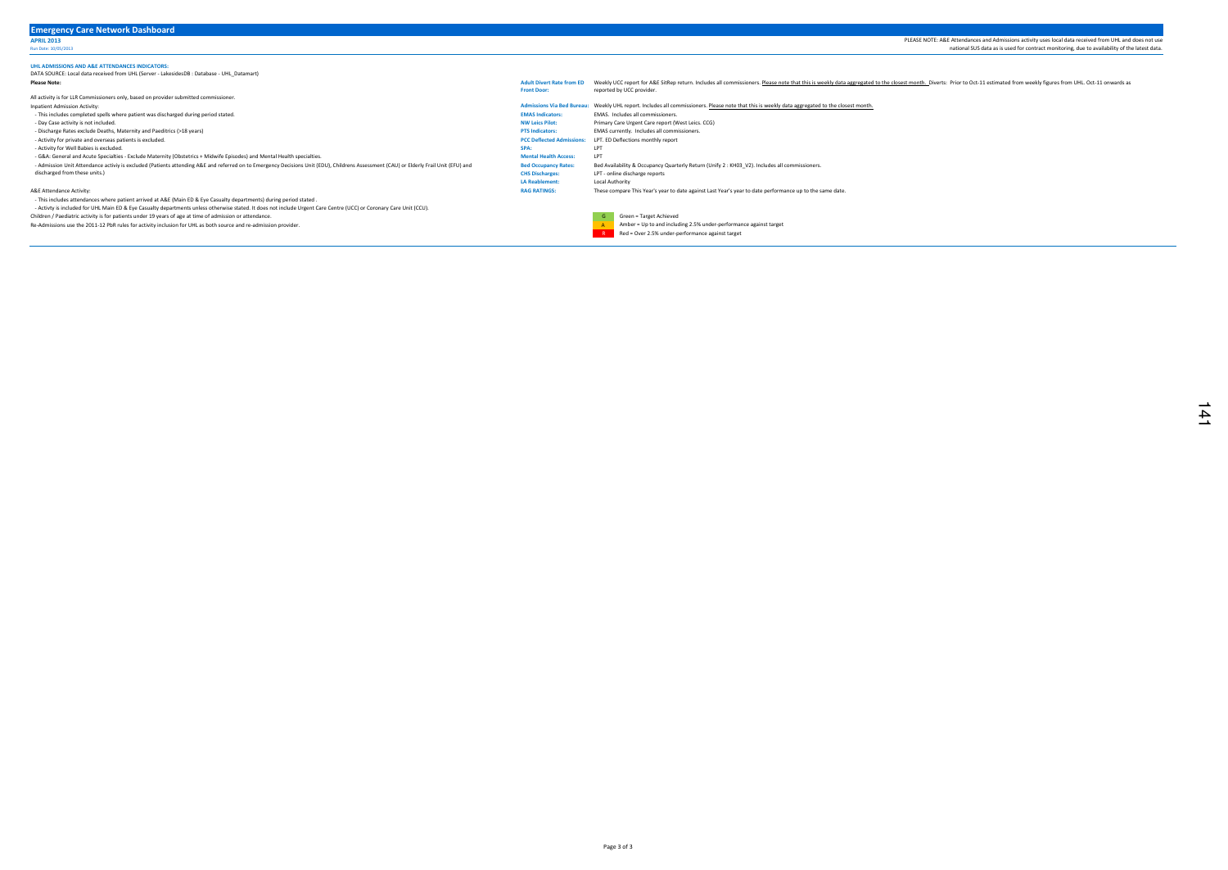## UHL ADMISSIONS AND A&E ATTENDANCES INDICATORS: DATA SOURCE: Local data received from UHL (Server - LakesidesDB : Database - UHL\_Datamart) Please Note: All activity is for LLR Commissioners only, based on provider submitted commissioner. Inpatient Admission Activity: Admissions Via Bed Bureau: Weekly UHL report. Includes all commissioners. <u>Please note that this is weekly data aggregated to the closest month.</u><br>This includes completed spells where patient w - This includes completed spells where patient was discharged during period stated.<br>- Dav Case activity is not included. NW Leics Pilot: EMAS Indicators: EMAS Indicators: EMAS Indicators: EMAS Indicators: Pilot: - Day Case activity is not included. Numeral control of the server we can be activity is not included. The case of the case of the case of the case of the case of the case of the care report (West Leics. CCG)<br>- Discharge R - Discharge Rates exclude Deaths, Maternity and Paeditrics (>18 years) - Activity for private and overseas patients is excluded. Note that the second controller than the private and overseas patients is excluded.<br>Activity for Well Babies is excluded. The second of the second controller than t - Activity for Well Babies is excluded. SPA: LPT - G&A: General and Acute Specialties - Exclude Maternity (Obstetrics + Midwife Episodes) and Mental Health specialties.<br>- Admission Unit Attendance activiy is excluded (Patients attending A&E and referred on to Emergency D LPT - online discharge reports LA Reablement: Local Authority A&E Attendance Activity: - This includes attendances where patient arrived at A&E (Main ED & Eye Casualty departments) during period stated . - Activty is included for UHL Main ED & Eye Casualty departments unless otherwise stated. It does not include Urgent Care Centre (UCC) or Coronary Care Unit (CCU). Children / Paediatric activity is for patients under 19 years of age at time of admission or attendance. G Green = Target Achieved Green = Target Achieved Green = Target Achieved Green = Target Achieved Green = Target Achi Adult Divert Rate from ED Weekly UCC report for A&E SitRep return. Includes all commissioners. Please note that this is weekly data aggregated to the closest month. Diverts: Prior to Oct-11 estimated from weekly figures fr Front Door: reported by UCC provider. - Admission Unit Attendance activiy is excluded (Patients attending A&E and referred on to Emergency Decisions Unit (EDU), Childrens Assessment (CAU) or Elderly Frail Unit (EFU) and discharged from these units.) These compare This Year's year to date against Last Year's year to date performance up to the same date.

Re-Admissions use the 2011-12 PbR rules for activity inclusion for UHL as both source and re-admission provider.

Bed Occupancy Rates: Bed Availability & Occupancy Quarterly Return (Unify 2 : KH03\_V2). Includes all commissioners.<br>CHS Discharges: LPT - online discharge reports



**R Red = Over 2.5% under-performance against target** 

PLEASE NOTE: A&E Attendances and Admissions activity uses local data received from UHL and does not use Run Date: 10/05/2013<br>Run Date: 10/05/2013<br>Run Date: 10/05/2013